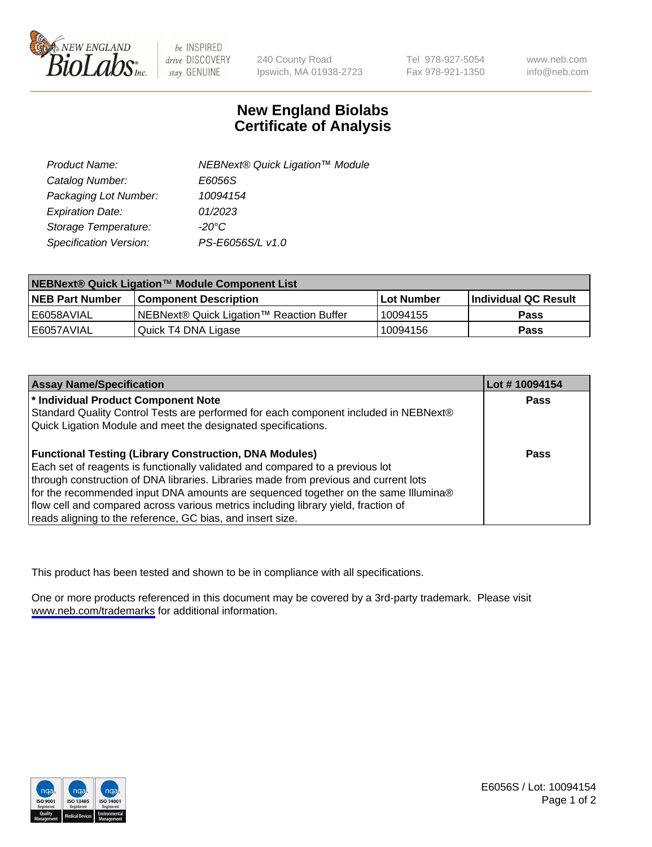

be INSPIRED drive DISCOVERY stay GENUINE

240 County Road Ipswich, MA 01938-2723 Tel 978-927-5054 Fax 978-921-1350

www.neb.com info@neb.com

## **New England Biolabs Certificate of Analysis**

| Product Name:           | NEBNext® Quick Ligation™ Module |
|-------------------------|---------------------------------|
| Catalog Number:         | E6056S                          |
| Packaging Lot Number:   | 10094154                        |
| <b>Expiration Date:</b> | 01/2023                         |
| Storage Temperature:    | $-20^{\circ}$ C                 |
| Specification Version:  | PS-E6056S/L v1.0                |

| NEBNext® Quick Ligation™ Module Component List |                                          |              |                             |  |
|------------------------------------------------|------------------------------------------|--------------|-----------------------------|--|
| <b>NEB Part Number</b>                         | <b>Component Description</b>             | l Lot Number | <b>Individual QC Result</b> |  |
| l E6058AVIAL                                   | NEBNext® Quick Ligation™ Reaction Buffer | ' 10094155   | <b>Pass</b>                 |  |
| I E6057AVIAL                                   | Quick T4 DNA Ligase                      | 10094156     | <b>Pass</b>                 |  |

| <b>Assay Name/Specification</b>                                                      | Lot #10094154 |
|--------------------------------------------------------------------------------------|---------------|
| * Individual Product Component Note                                                  | <b>Pass</b>   |
| Standard Quality Control Tests are performed for each component included in NEBNext® |               |
| Quick Ligation Module and meet the designated specifications.                        |               |
|                                                                                      |               |
| <b>Functional Testing (Library Construction, DNA Modules)</b>                        | <b>Pass</b>   |
| Each set of reagents is functionally validated and compared to a previous lot        |               |
| through construction of DNA libraries. Libraries made from previous and current lots |               |
| for the recommended input DNA amounts are sequenced together on the same Illumina®   |               |
| flow cell and compared across various metrics including library yield, fraction of   |               |
| reads aligning to the reference, GC bias, and insert size.                           |               |

This product has been tested and shown to be in compliance with all specifications.

One or more products referenced in this document may be covered by a 3rd-party trademark. Please visit <www.neb.com/trademarks>for additional information.